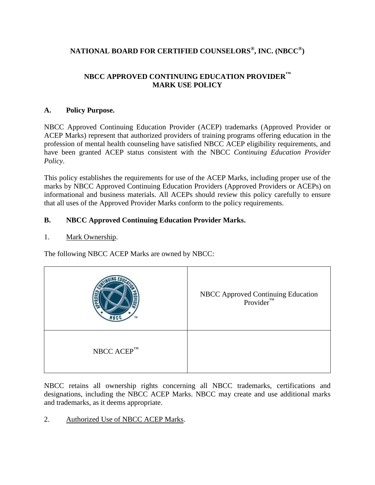# **NATIONAL BOARD FOR CERTIFIED COUNSELORS® , INC. (NBCC® )**

## **NBCC APPROVED CONTINUING EDUCATION PROVIDER™ MARK USE POLICY**

## **A. Policy Purpose.**

NBCC Approved Continuing Education Provider (ACEP) trademarks (Approved Provider or ACEP Marks) represent that authorized providers of training programs offering education in the profession of mental health counseling have satisfied NBCC ACEP eligibility requirements, and have been granted ACEP status consistent with the NBCC *Continuing Education Provider Policy*.

This policy establishes the requirements for use of the ACEP Marks, including proper use of the marks by NBCC Approved Continuing Education Providers (Approved Providers or ACEPs) on informational and business materials. All ACEPs should review this policy carefully to ensure that all uses of the Approved Provider Marks conform to the policy requirements.

## **B. NBCC Approved Continuing Education Provider Marks.**

1. Mark Ownership.

The following NBCC ACEP Marks are owned by NBCC:

|                  | NBCC Approved Continuing Education<br>Provider <sup>™</sup> |
|------------------|-------------------------------------------------------------|
| NBCC $ACEP^{TM}$ |                                                             |

NBCC retains all ownership rights concerning all NBCC trademarks, certifications and designations, including the NBCC ACEP Marks. NBCC may create and use additional marks and trademarks, as it deems appropriate.

2. Authorized Use of NBCC ACEP Marks.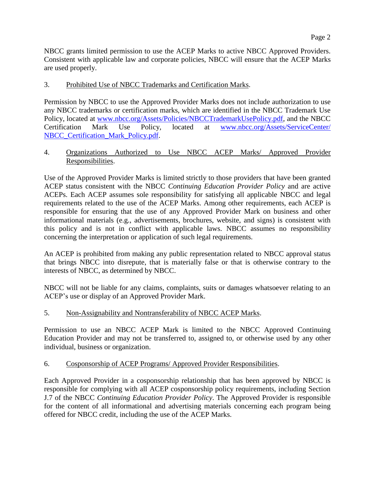NBCC grants limited permission to use the ACEP Marks to active NBCC Approved Providers. Consistent with applicable law and corporate policies, NBCC will ensure that the ACEP Marks are used properly.

### 3. Prohibited Use of NBCC Trademarks and Certification Marks.

Permission by NBCC to use the Approved Provider Marks does not include authorization to use any NBCC trademarks or certification marks, which are identified in the NBCC Trademark Use Policy, located at [www.nbcc.org/Assets/Policies/NBCCTrademarkUsePolicy.pdf,](http://www.nbcc.org/Assets/Policies/NBCCTrademarkUsePolicy.pdf) and the NBCC Certification Mark Use Policy, located at [www.nbcc.org/Assets/ServiceCenter/](http://www.nbcc.org/Assets/ServiceCenter/%20NBCC_Certification_Mark_Policy.pdf)  [NBCC\\_Certification\\_Mark\\_Policy.pdf.](http://www.nbcc.org/Assets/ServiceCenter/%20NBCC_Certification_Mark_Policy.pdf)

## 4. Organizations Authorized to Use NBCC ACEP Marks/ Approved Provider Responsibilities.

Use of the Approved Provider Marks is limited strictly to those providers that have been granted ACEP status consistent with the NBCC *Continuing Education Provider Policy* and are active ACEPs. Each ACEP assumes sole responsibility for satisfying all applicable NBCC and legal requirements related to the use of the ACEP Marks. Among other requirements, each ACEP is responsible for ensuring that the use of any Approved Provider Mark on business and other informational materials (e.g., advertisements, brochures, website, and signs) is consistent with this policy and is not in conflict with applicable laws. NBCC assumes no responsibility concerning the interpretation or application of such legal requirements.

An ACEP is prohibited from making any public representation related to NBCC approval status that brings NBCC into disrepute, that is materially false or that is otherwise contrary to the interests of NBCC, as determined by NBCC.

NBCC will not be liable for any claims, complaints, suits or damages whatsoever relating to an ACEP's use or display of an Approved Provider Mark.

## 5. Non-Assignability and Nontransferability of NBCC ACEP Marks.

Permission to use an NBCC ACEP Mark is limited to the NBCC Approved Continuing Education Provider and may not be transferred to, assigned to, or otherwise used by any other individual, business or organization.

#### 6. Cosponsorship of ACEP Programs/ Approved Provider Responsibilities.

Each Approved Provider in a cosponsorship relationship that has been approved by NBCC is responsible for complying with all ACEP cosponsorship policy requirements, including Section J.7 of the NBCC *Continuing Education Provider Policy*. The Approved Provider is responsible for the content of all informational and advertising materials concerning each program being offered for NBCC credit, including the use of the ACEP Marks.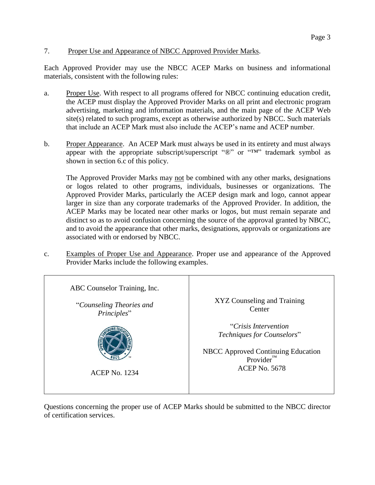## 7. Proper Use and Appearance of NBCC Approved Provider Marks.

Each Approved Provider may use the NBCC ACEP Marks on business and informational materials, consistent with the following rules:

- a. Proper Use. With respect to all programs offered for NBCC continuing education credit, the ACEP must display the Approved Provider Marks on all print and electronic program advertising, marketing and information materials, and the main page of the ACEP Web site(s) related to such programs, except as otherwise authorized by NBCC. Such materials that include an ACEP Mark must also include the ACEP's name and ACEP number.
- b. Proper Appearance. An ACEP Mark must always be used in its entirety and must always appear with the appropriate subscript/superscript "®" or "™" trademark symbol as shown in section 6.c of this policy.

The Approved Provider Marks may not be combined with any other marks, designations or logos related to other programs, individuals, businesses or organizations. The Approved Provider Marks, particularly the ACEP design mark and logo, cannot appear larger in size than any corporate trademarks of the Approved Provider. In addition, the ACEP Marks may be located near other marks or logos, but must remain separate and distinct so as to avoid confusion concerning the source of the approval granted by NBCC, and to avoid the appearance that other marks, designations, approvals or organizations are associated with or endorsed by NBCC.

c. Examples of Proper Use and Appearance. Proper use and appearance of the Approved Provider Marks include the following examples.



Questions concerning the proper use of ACEP Marks should be submitted to the NBCC director of certification services.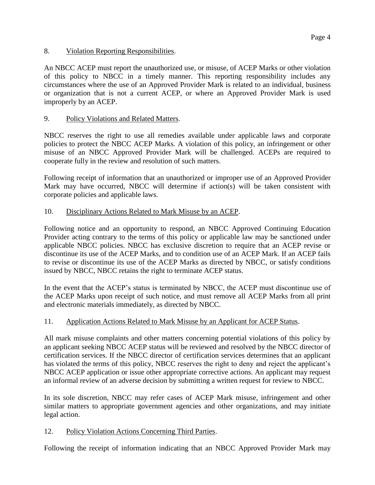8. Violation Reporting Responsibilities.

An NBCC ACEP must report the unauthorized use, or misuse, of ACEP Marks or other violation of this policy to NBCC in a timely manner. This reporting responsibility includes any circumstances where the use of an Approved Provider Mark is related to an individual, business or organization that is not a current ACEP, or where an Approved Provider Mark is used improperly by an ACEP.

### 9. Policy Violations and Related Matters.

NBCC reserves the right to use all remedies available under applicable laws and corporate policies to protect the NBCC ACEP Marks. A violation of this policy, an infringement or other misuse of an NBCC Approved Provider Mark will be challenged. ACEPs are required to cooperate fully in the review and resolution of such matters.

Following receipt of information that an unauthorized or improper use of an Approved Provider Mark may have occurred, NBCC will determine if action(s) will be taken consistent with corporate policies and applicable laws.

## 10. Disciplinary Actions Related to Mark Misuse by an ACEP.

Following notice and an opportunity to respond, an NBCC Approved Continuing Education Provider acting contrary to the terms of this policy or applicable law may be sanctioned under applicable NBCC policies. NBCC has exclusive discretion to require that an ACEP revise or discontinue its use of the ACEP Marks, and to condition use of an ACEP Mark. If an ACEP fails to revise or discontinue its use of the ACEP Marks as directed by NBCC, or satisfy conditions issued by NBCC, NBCC retains the right to terminate ACEP status.

In the event that the ACEP's status is terminated by NBCC, the ACEP must discontinue use of the ACEP Marks upon receipt of such notice, and must remove all ACEP Marks from all print and electronic materials immediately, as directed by NBCC.

## 11. Application Actions Related to Mark Misuse by an Applicant for ACEP Status.

All mark misuse complaints and other matters concerning potential violations of this policy by an applicant seeking NBCC ACEP status will be reviewed and resolved by the NBCC director of certification services. If the NBCC director of certification services determines that an applicant has violated the terms of this policy, NBCC reserves the right to deny and reject the applicant's NBCC ACEP application or issue other appropriate corrective actions. An applicant may request an informal review of an adverse decision by submitting a written request for review to NBCC.

In its sole discretion, NBCC may refer cases of ACEP Mark misuse, infringement and other similar matters to appropriate government agencies and other organizations, and may initiate legal action.

## 12. Policy Violation Actions Concerning Third Parties.

Following the receipt of information indicating that an NBCC Approved Provider Mark may